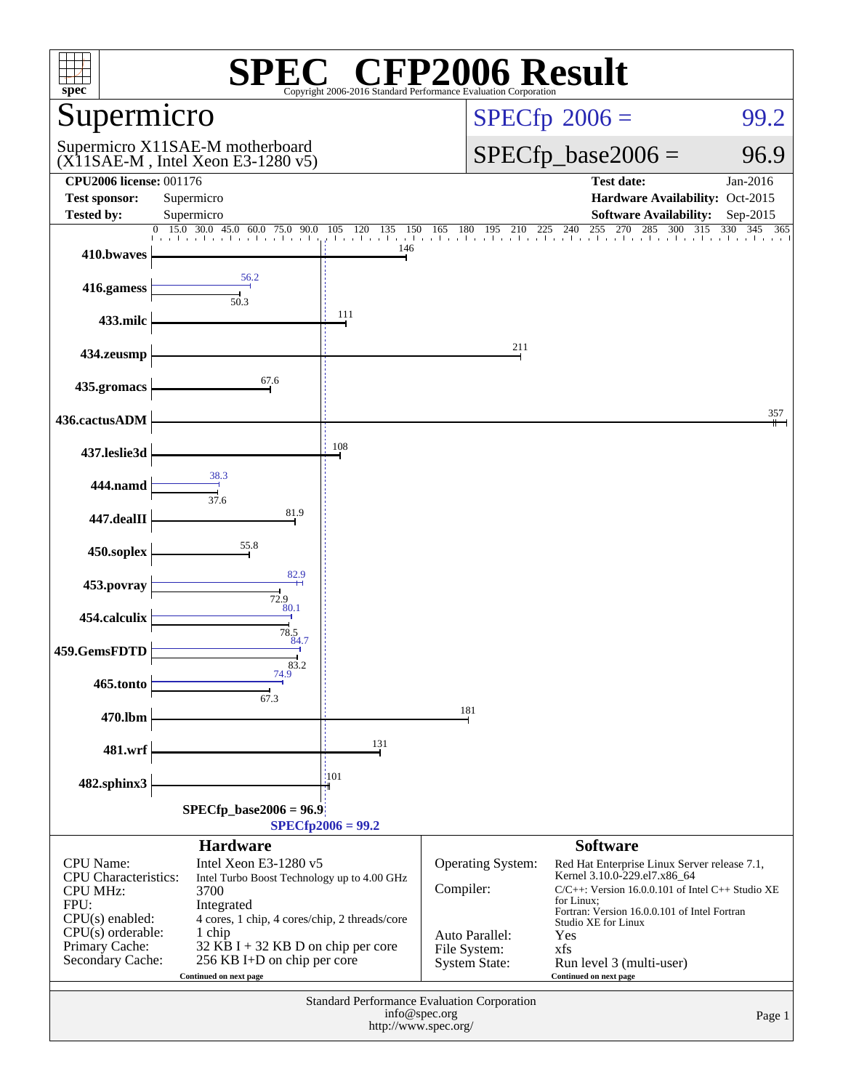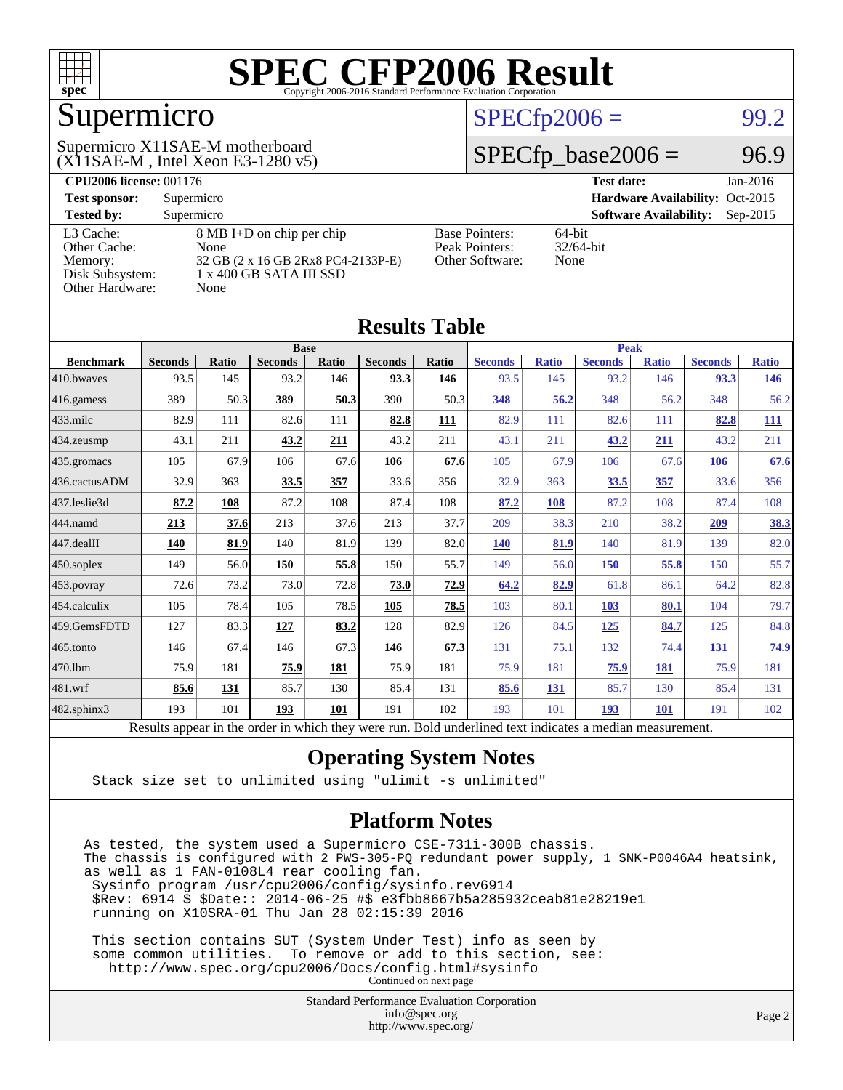

### Supermicro

#### (X11SAE-M , Intel Xeon E3-1280 v5) Supermicro X11SAE-M motherboard

#### $SPECTp2006 =$  99.2

#### $SPECfp\_base2006 = 96.9$

| <b>CPU2006 license: 001176</b> |                                    | $Jan-2016$<br><b>Test date:</b> |                                             |
|--------------------------------|------------------------------------|---------------------------------|---------------------------------------------|
| <b>Test sponsor:</b>           | Supermicro                         |                                 | Hardware Availability: Oct-2015             |
| <b>Tested by:</b>              | Supermicro                         |                                 | <b>Software Availability:</b><br>$Sep-2015$ |
| L3 Cache:                      | 8 MB I+D on chip per chip          | <b>Base Pointers:</b>           | $64$ -bit                                   |
| Other Cache:                   | None                               | Peak Pointers:                  | $32/64$ -bit                                |
| Memory:                        | 32 GB (2 x 16 GB 2Rx8 PC4-2133P-E) | Other Software:                 | None                                        |
| Disk Subsystem:                | $1 \times 400$ GB SATA III SSD     |                                 |                                             |
| Other Hardware:                | None                               |                                 |                                             |

| <b>Results Table</b> |                                                                                                          |              |                |       |                |       |                |              |                |              |                |              |
|----------------------|----------------------------------------------------------------------------------------------------------|--------------|----------------|-------|----------------|-------|----------------|--------------|----------------|--------------|----------------|--------------|
|                      |                                                                                                          | <b>Base</b>  |                |       |                |       | <b>Peak</b>    |              |                |              |                |              |
| <b>Benchmark</b>     | <b>Seconds</b>                                                                                           | <b>Ratio</b> | <b>Seconds</b> | Ratio | <b>Seconds</b> | Ratio | <b>Seconds</b> | <b>Ratio</b> | <b>Seconds</b> | <b>Ratio</b> | <b>Seconds</b> | <b>Ratio</b> |
| 410.bwayes           | 93.5                                                                                                     | 145          | 93.2           | 146   | 93.3           | 146   | 93.5           | 145          | 93.2           | 146          | 93.3           | <u>146</u>   |
| 416.gamess           | 389                                                                                                      | 50.3         | 389            | 50.3  | 390            | 50.3  | 348            | 56.2         | 348            | 56.2         | 348            | 56.2         |
| $433$ .milc          | 82.9                                                                                                     | 111          | 82.6           | 111   | 82.8           | 111   | 82.9           | 111          | 82.6           | 111          | 82.8           | 111          |
| $434$ . zeusmp       | 43.1                                                                                                     | 211          | 43.2           | 211   | 43.2           | 211   | 43.1           | 211          | 43.2           | 211          | 43.2           | 211          |
| 435.gromacs          | 105                                                                                                      | 67.9         | 106            | 67.6  | 106            | 67.6  | 105            | 67.9         | 106            | 67.6         | 106            | 67.6         |
| 436.cactusADM        | 32.9                                                                                                     | 363          | 33.5           | 357   | 33.6           | 356   | 32.9           | 363          | 33.5           | 357          | 33.6           | 356          |
| 437.leslie3d         | 87.2                                                                                                     | 108          | 87.2           | 108   | 87.4           | 108   | 87.2           | 108          | 87.2           | 108          | 87.4           | 108          |
| 444.namd             | 213                                                                                                      | 37.6         | 213            | 37.6  | 213            | 37.7  | 209            | 38.3         | 210            | 38.2         | 209            | 38.3         |
| $447$ .dealII        | 140                                                                                                      | 81.9         | 140            | 81.9  | 139            | 82.0  | <b>140</b>     | 81.9         | 140            | 81.9         | 139            | 82.0         |
| $450$ .soplex        | 149                                                                                                      | 56.0         | 150            | 55.8  | 150            | 55.7  | 149            | 56.0         | 150            | 55.8         | 150            | 55.7         |
| $453$ .povray        | 72.6                                                                                                     | 73.2         | 73.0           | 72.8  | 73.0           | 72.9  | 64.2           | 82.9         | 61.8           | 86.1         | 64.2           | 82.8         |
| 454.calculix         | 105                                                                                                      | 78.4         | 105            | 78.5  | 105            | 78.5  | 103            | 80.1         | 103            | 80.1         | 104            | 79.7         |
| 459.GemsFDTD         | 127                                                                                                      | 83.3         | 127            | 83.2  | 128            | 82.9  | 126            | 84.5         | 125            | 84.7         | 125            | 84.8         |
| $465$ .tonto         | 146                                                                                                      | 67.4         | 146            | 67.3  | 146            | 67.3  | 131            | 75.1         | 132            | 74.4         | 131            | 74.9         |
| 470.1bm              | 75.9                                                                                                     | 181          | 75.9           | 181   | 75.9           | 181   | 75.9           | 181          | 75.9           | <b>181</b>   | 75.9           | 181          |
| 481.wrf              | 85.6                                                                                                     | 131          | 85.7           | 130   | 85.4           | 131   | 85.6           | 131          | 85.7           | 130          | 85.4           | 131          |
| $482$ .sphinx $3$    | 193                                                                                                      | 101          | 193            | 101   | 191            | 102   | 193            | 101          | 193            | <b>101</b>   | 191            | 102          |
|                      | Results appear in the order in which they were run. Bold underlined text indicates a median measurement. |              |                |       |                |       |                |              |                |              |                |              |

#### **[Operating System Notes](http://www.spec.org/auto/cpu2006/Docs/result-fields.html#OperatingSystemNotes)**

Stack size set to unlimited using "ulimit -s unlimited"

#### **[Platform Notes](http://www.spec.org/auto/cpu2006/Docs/result-fields.html#PlatformNotes)**

As tested, the system used a Supermicro CSE-731i-300B chassis. The chassis is configured with 2 PWS-305-PQ redundant power supply, 1 SNK-P0046A4 heatsink, as well as 1 FAN-0108L4 rear cooling fan. Sysinfo program /usr/cpu2006/config/sysinfo.rev6914 \$Rev: 6914 \$ \$Date:: 2014-06-25 #\$ e3fbb8667b5a285932ceab81e28219e1 running on X10SRA-01 Thu Jan 28 02:15:39 2016

 This section contains SUT (System Under Test) info as seen by some common utilities. To remove or add to this section, see: <http://www.spec.org/cpu2006/Docs/config.html#sysinfo> Continued on next page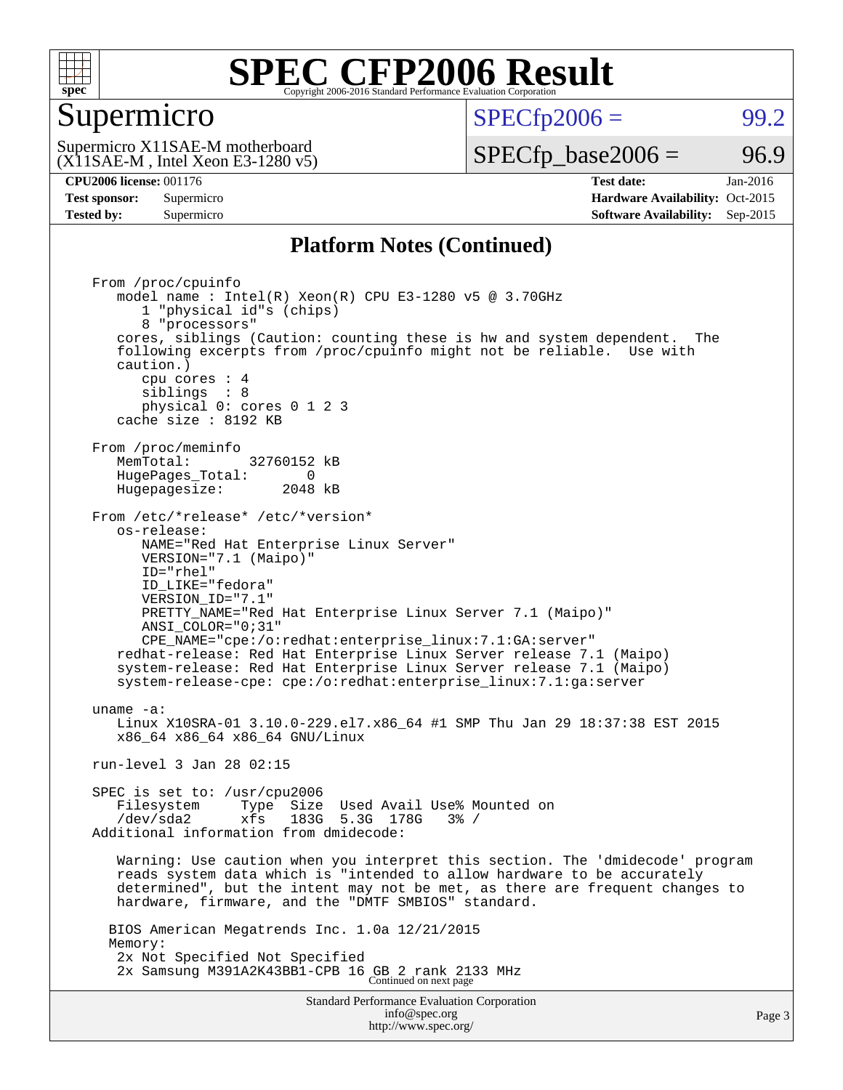

#### Supermicro

 $SPECTp2006 =$  99.2

(X11SAE-M , Intel Xeon E3-1280 v5) Supermicro X11SAE-M motherboard

 $SPECTp\_base2006 = 96.9$ 

**[CPU2006 license:](http://www.spec.org/auto/cpu2006/Docs/result-fields.html#CPU2006license)** 001176 **[Test date:](http://www.spec.org/auto/cpu2006/Docs/result-fields.html#Testdate)** Jan-2016 **[Test sponsor:](http://www.spec.org/auto/cpu2006/Docs/result-fields.html#Testsponsor)** Supermicro Supermicro **[Hardware Availability:](http://www.spec.org/auto/cpu2006/Docs/result-fields.html#HardwareAvailability)** Oct-2015 **[Tested by:](http://www.spec.org/auto/cpu2006/Docs/result-fields.html#Testedby)** Supermicro **Supermicro [Software Availability:](http://www.spec.org/auto/cpu2006/Docs/result-fields.html#SoftwareAvailability)** Sep-2015

#### **[Platform Notes \(Continued\)](http://www.spec.org/auto/cpu2006/Docs/result-fields.html#PlatformNotes)**

Standard Performance Evaluation Corporation [info@spec.org](mailto:info@spec.org) From /proc/cpuinfo model name : Intel(R) Xeon(R) CPU E3-1280 v5 @ 3.70GHz 1 "physical id"s (chips) 8 "processors" cores, siblings (Caution: counting these is hw and system dependent. The following excerpts from /proc/cpuinfo might not be reliable. Use with caution.) cpu cores : 4 siblings : 8 physical 0: cores 0 1 2 3 cache size : 8192 KB From /proc/meminfo<br>MemTotal: 32760152 kB HugePages\_Total: 0<br>Hugepagesize: 2048 kB Hugepagesize: From /etc/\*release\* /etc/\*version\* os-release: NAME="Red Hat Enterprise Linux Server" VERSION="7.1 (Maipo)" ID="rhel" ID\_LIKE="fedora" VERSION\_ID="7.1" PRETTY\_NAME="Red Hat Enterprise Linux Server 7.1 (Maipo)" ANSI\_COLOR="0;31" CPE\_NAME="cpe:/o:redhat:enterprise\_linux:7.1:GA:server" redhat-release: Red Hat Enterprise Linux Server release 7.1 (Maipo) system-release: Red Hat Enterprise Linux Server release 7.1 (Maipo) system-release-cpe: cpe:/o:redhat:enterprise\_linux:7.1:ga:server uname -a: Linux X10SRA-01 3.10.0-229.el7.x86\_64 #1 SMP Thu Jan 29 18:37:38 EST 2015 x86\_64 x86\_64 x86\_64 GNU/Linux run-level 3 Jan 28 02:15 SPEC is set to: /usr/cpu2006 Filesystem Type Size Used Avail Use% Mounted on<br>  $\frac{1}{2}$  /dev/sda2 xfs 183G 5.3G 178G 3% / Additional information from dmidecode: Warning: Use caution when you interpret this section. The 'dmidecode' program reads system data which is "intended to allow hardware to be accurately determined", but the intent may not be met, as there are frequent changes to hardware, firmware, and the "DMTF SMBIOS" standard. BIOS American Megatrends Inc. 1.0a 12/21/2015 Memory: 2x Not Specified Not Specified 2x Samsung M391A2K43BB1-CPB 16 GB 2 rank 2133 MHz Continued on next page

<http://www.spec.org/>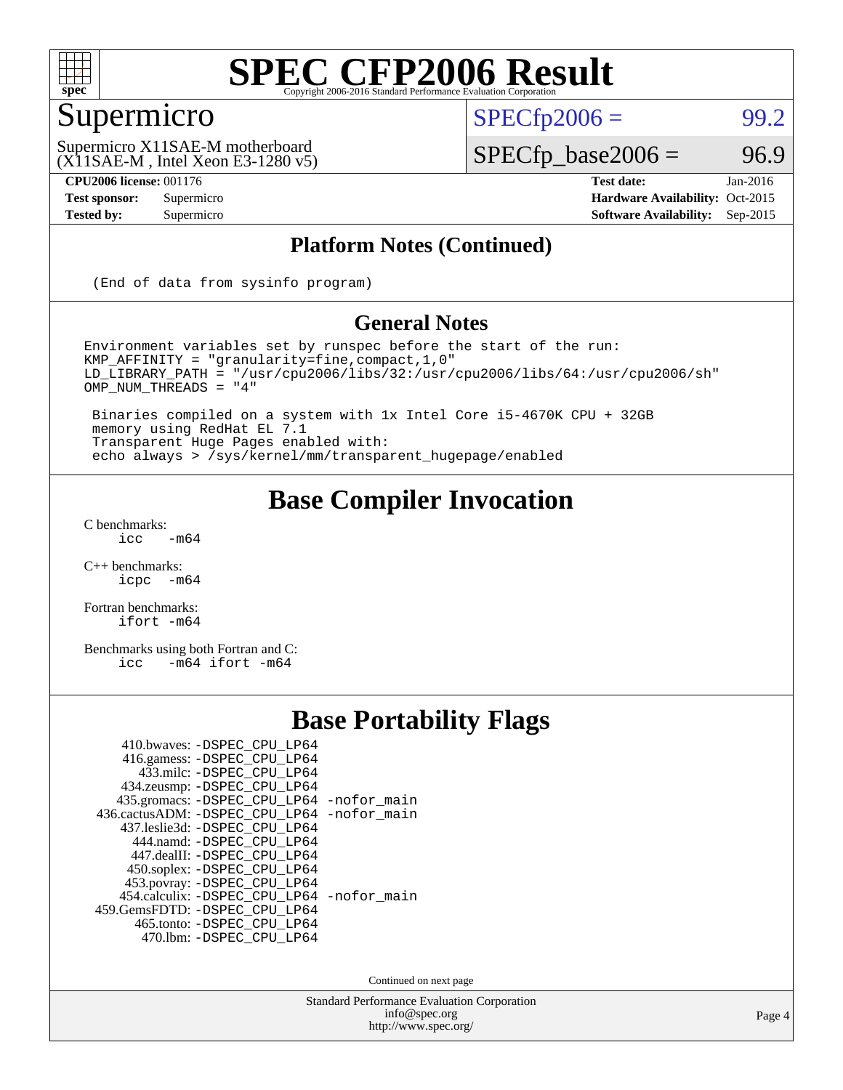

#### Supermicro

 $SPECTp2006 =$  99.2

(X11SAE-M , Intel Xeon E3-1280 v5) Supermicro X11SAE-M motherboard

 $SPECfp\_base2006 = 96.9$ **[CPU2006 license:](http://www.spec.org/auto/cpu2006/Docs/result-fields.html#CPU2006license)** 001176 **[Test date:](http://www.spec.org/auto/cpu2006/Docs/result-fields.html#Testdate)** Jan-2016

**[Test sponsor:](http://www.spec.org/auto/cpu2006/Docs/result-fields.html#Testsponsor)** Supermicro Supermicro **[Hardware Availability:](http://www.spec.org/auto/cpu2006/Docs/result-fields.html#HardwareAvailability)** Oct-2015 **[Tested by:](http://www.spec.org/auto/cpu2006/Docs/result-fields.html#Testedby)** Supermicro **[Software Availability:](http://www.spec.org/auto/cpu2006/Docs/result-fields.html#SoftwareAvailability)** Sep-2015

#### **[Platform Notes \(Continued\)](http://www.spec.org/auto/cpu2006/Docs/result-fields.html#PlatformNotes)**

(End of data from sysinfo program)

#### **[General Notes](http://www.spec.org/auto/cpu2006/Docs/result-fields.html#GeneralNotes)**

Environment variables set by runspec before the start of the run: KMP\_AFFINITY = "granularity=fine,compact,1,0" LD\_LIBRARY\_PATH = "/usr/cpu2006/libs/32:/usr/cpu2006/libs/64:/usr/cpu2006/sh" OMP\_NUM\_THREADS = "4"

 Binaries compiled on a system with 1x Intel Core i5-4670K CPU + 32GB memory using RedHat EL 7.1 Transparent Huge Pages enabled with: echo always > /sys/kernel/mm/transparent\_hugepage/enabled

#### **[Base Compiler Invocation](http://www.spec.org/auto/cpu2006/Docs/result-fields.html#BaseCompilerInvocation)**

 $C$  benchmarks:<br>icc  $-m64$ 

[C++ benchmarks:](http://www.spec.org/auto/cpu2006/Docs/result-fields.html#CXXbenchmarks) [icpc -m64](http://www.spec.org/cpu2006/results/res2016q1/cpu2006-20160206-38990.flags.html#user_CXXbase_intel_icpc_64bit_bedb90c1146cab66620883ef4f41a67e)

[Fortran benchmarks](http://www.spec.org/auto/cpu2006/Docs/result-fields.html#Fortranbenchmarks): [ifort -m64](http://www.spec.org/cpu2006/results/res2016q1/cpu2006-20160206-38990.flags.html#user_FCbase_intel_ifort_64bit_ee9d0fb25645d0210d97eb0527dcc06e)

[Benchmarks using both Fortran and C](http://www.spec.org/auto/cpu2006/Docs/result-fields.html#BenchmarksusingbothFortranandC): [icc -m64](http://www.spec.org/cpu2006/results/res2016q1/cpu2006-20160206-38990.flags.html#user_CC_FCbase_intel_icc_64bit_0b7121f5ab7cfabee23d88897260401c) [ifort -m64](http://www.spec.org/cpu2006/results/res2016q1/cpu2006-20160206-38990.flags.html#user_CC_FCbase_intel_ifort_64bit_ee9d0fb25645d0210d97eb0527dcc06e)

#### **[Base Portability Flags](http://www.spec.org/auto/cpu2006/Docs/result-fields.html#BasePortabilityFlags)**

| 410.bwaves: -DSPEC CPU LP64                |  |
|--------------------------------------------|--|
| 416.gamess: -DSPEC_CPU_LP64                |  |
| 433.milc: -DSPEC CPU LP64                  |  |
| 434.zeusmp: - DSPEC_CPU_LP64               |  |
| 435.gromacs: -DSPEC_CPU_LP64 -nofor_main   |  |
| 436.cactusADM: -DSPEC CPU LP64 -nofor main |  |
| 437.leslie3d: -DSPEC CPU LP64              |  |
| 444.namd: - DSPEC_CPU_LP64                 |  |
| 447.dealII: -DSPEC CPU LP64                |  |
| 450.soplex: -DSPEC_CPU_LP64                |  |
| 453.povray: -DSPEC_CPU_LP64                |  |
| 454.calculix: -DSPEC_CPU_LP64 -nofor_main  |  |
| 459. GemsFDTD: - DSPEC CPU LP64            |  |
| 465.tonto: - DSPEC_CPU_LP64                |  |
| 470.1bm: - DSPEC CPU LP64                  |  |

Continued on next page

Standard Performance Evaluation Corporation [info@spec.org](mailto:info@spec.org) <http://www.spec.org/>

Page 4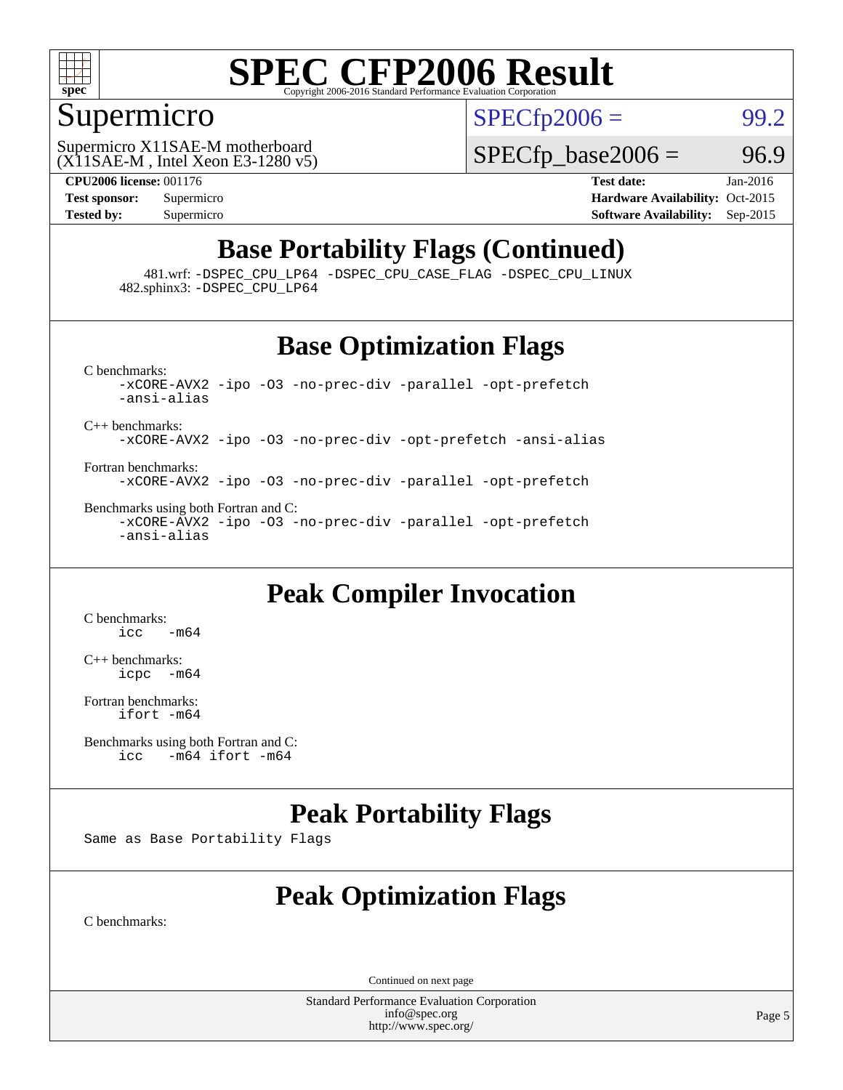

#### Supermicro

 $SPECTp2006 = 99.2$ 

(X11SAE-M , Intel Xeon E3-1280 v5) Supermicro X11SAE-M motherboard

 $SPECTp\_base2006 = 96.9$ 

**[CPU2006 license:](http://www.spec.org/auto/cpu2006/Docs/result-fields.html#CPU2006license)** 001176 **[Test date:](http://www.spec.org/auto/cpu2006/Docs/result-fields.html#Testdate)** Jan-2016 **[Test sponsor:](http://www.spec.org/auto/cpu2006/Docs/result-fields.html#Testsponsor)** Supermicro Supermicro **[Hardware Availability:](http://www.spec.org/auto/cpu2006/Docs/result-fields.html#HardwareAvailability)** Oct-2015 **[Tested by:](http://www.spec.org/auto/cpu2006/Docs/result-fields.html#Testedby)** Supermicro **Supermicro [Software Availability:](http://www.spec.org/auto/cpu2006/Docs/result-fields.html#SoftwareAvailability)** Sep-2015

#### **[Base Portability Flags \(Continued\)](http://www.spec.org/auto/cpu2006/Docs/result-fields.html#BasePortabilityFlags)**

 481.wrf: [-DSPEC\\_CPU\\_LP64](http://www.spec.org/cpu2006/results/res2016q1/cpu2006-20160206-38990.flags.html#suite_basePORTABILITY481_wrf_DSPEC_CPU_LP64) [-DSPEC\\_CPU\\_CASE\\_FLAG](http://www.spec.org/cpu2006/results/res2016q1/cpu2006-20160206-38990.flags.html#b481.wrf_baseCPORTABILITY_DSPEC_CPU_CASE_FLAG) [-DSPEC\\_CPU\\_LINUX](http://www.spec.org/cpu2006/results/res2016q1/cpu2006-20160206-38990.flags.html#b481.wrf_baseCPORTABILITY_DSPEC_CPU_LINUX) 482.sphinx3: [-DSPEC\\_CPU\\_LP64](http://www.spec.org/cpu2006/results/res2016q1/cpu2006-20160206-38990.flags.html#suite_basePORTABILITY482_sphinx3_DSPEC_CPU_LP64)

#### **[Base Optimization Flags](http://www.spec.org/auto/cpu2006/Docs/result-fields.html#BaseOptimizationFlags)**

[C benchmarks](http://www.spec.org/auto/cpu2006/Docs/result-fields.html#Cbenchmarks): [-xCORE-AVX2](http://www.spec.org/cpu2006/results/res2016q1/cpu2006-20160206-38990.flags.html#user_CCbase_f-xAVX2_5f5fc0cbe2c9f62c816d3e45806c70d7) [-ipo](http://www.spec.org/cpu2006/results/res2016q1/cpu2006-20160206-38990.flags.html#user_CCbase_f-ipo) [-O3](http://www.spec.org/cpu2006/results/res2016q1/cpu2006-20160206-38990.flags.html#user_CCbase_f-O3) [-no-prec-div](http://www.spec.org/cpu2006/results/res2016q1/cpu2006-20160206-38990.flags.html#user_CCbase_f-no-prec-div) [-parallel](http://www.spec.org/cpu2006/results/res2016q1/cpu2006-20160206-38990.flags.html#user_CCbase_f-parallel) [-opt-prefetch](http://www.spec.org/cpu2006/results/res2016q1/cpu2006-20160206-38990.flags.html#user_CCbase_f-opt-prefetch) [-ansi-alias](http://www.spec.org/cpu2006/results/res2016q1/cpu2006-20160206-38990.flags.html#user_CCbase_f-ansi-alias) [C++ benchmarks:](http://www.spec.org/auto/cpu2006/Docs/result-fields.html#CXXbenchmarks) [-xCORE-AVX2](http://www.spec.org/cpu2006/results/res2016q1/cpu2006-20160206-38990.flags.html#user_CXXbase_f-xAVX2_5f5fc0cbe2c9f62c816d3e45806c70d7) [-ipo](http://www.spec.org/cpu2006/results/res2016q1/cpu2006-20160206-38990.flags.html#user_CXXbase_f-ipo) [-O3](http://www.spec.org/cpu2006/results/res2016q1/cpu2006-20160206-38990.flags.html#user_CXXbase_f-O3) [-no-prec-div](http://www.spec.org/cpu2006/results/res2016q1/cpu2006-20160206-38990.flags.html#user_CXXbase_f-no-prec-div) [-opt-prefetch](http://www.spec.org/cpu2006/results/res2016q1/cpu2006-20160206-38990.flags.html#user_CXXbase_f-opt-prefetch) [-ansi-alias](http://www.spec.org/cpu2006/results/res2016q1/cpu2006-20160206-38990.flags.html#user_CXXbase_f-ansi-alias) [Fortran benchmarks](http://www.spec.org/auto/cpu2006/Docs/result-fields.html#Fortranbenchmarks):

[-xCORE-AVX2](http://www.spec.org/cpu2006/results/res2016q1/cpu2006-20160206-38990.flags.html#user_FCbase_f-xAVX2_5f5fc0cbe2c9f62c816d3e45806c70d7) [-ipo](http://www.spec.org/cpu2006/results/res2016q1/cpu2006-20160206-38990.flags.html#user_FCbase_f-ipo) [-O3](http://www.spec.org/cpu2006/results/res2016q1/cpu2006-20160206-38990.flags.html#user_FCbase_f-O3) [-no-prec-div](http://www.spec.org/cpu2006/results/res2016q1/cpu2006-20160206-38990.flags.html#user_FCbase_f-no-prec-div) [-parallel](http://www.spec.org/cpu2006/results/res2016q1/cpu2006-20160206-38990.flags.html#user_FCbase_f-parallel) [-opt-prefetch](http://www.spec.org/cpu2006/results/res2016q1/cpu2006-20160206-38990.flags.html#user_FCbase_f-opt-prefetch)

[Benchmarks using both Fortran and C](http://www.spec.org/auto/cpu2006/Docs/result-fields.html#BenchmarksusingbothFortranandC): [-xCORE-AVX2](http://www.spec.org/cpu2006/results/res2016q1/cpu2006-20160206-38990.flags.html#user_CC_FCbase_f-xAVX2_5f5fc0cbe2c9f62c816d3e45806c70d7) [-ipo](http://www.spec.org/cpu2006/results/res2016q1/cpu2006-20160206-38990.flags.html#user_CC_FCbase_f-ipo) [-O3](http://www.spec.org/cpu2006/results/res2016q1/cpu2006-20160206-38990.flags.html#user_CC_FCbase_f-O3) [-no-prec-div](http://www.spec.org/cpu2006/results/res2016q1/cpu2006-20160206-38990.flags.html#user_CC_FCbase_f-no-prec-div) [-parallel](http://www.spec.org/cpu2006/results/res2016q1/cpu2006-20160206-38990.flags.html#user_CC_FCbase_f-parallel) [-opt-prefetch](http://www.spec.org/cpu2006/results/res2016q1/cpu2006-20160206-38990.flags.html#user_CC_FCbase_f-opt-prefetch) [-ansi-alias](http://www.spec.org/cpu2006/results/res2016q1/cpu2006-20160206-38990.flags.html#user_CC_FCbase_f-ansi-alias)

#### **[Peak Compiler Invocation](http://www.spec.org/auto/cpu2006/Docs/result-fields.html#PeakCompilerInvocation)**

[C benchmarks](http://www.spec.org/auto/cpu2006/Docs/result-fields.html#Cbenchmarks):  $\text{icc}$   $-\text{m64}$ 

[C++ benchmarks:](http://www.spec.org/auto/cpu2006/Docs/result-fields.html#CXXbenchmarks) [icpc -m64](http://www.spec.org/cpu2006/results/res2016q1/cpu2006-20160206-38990.flags.html#user_CXXpeak_intel_icpc_64bit_bedb90c1146cab66620883ef4f41a67e)

[Fortran benchmarks](http://www.spec.org/auto/cpu2006/Docs/result-fields.html#Fortranbenchmarks): [ifort -m64](http://www.spec.org/cpu2006/results/res2016q1/cpu2006-20160206-38990.flags.html#user_FCpeak_intel_ifort_64bit_ee9d0fb25645d0210d97eb0527dcc06e)

[Benchmarks using both Fortran and C](http://www.spec.org/auto/cpu2006/Docs/result-fields.html#BenchmarksusingbothFortranandC):<br>icc -m64 if ort -m64  $-m64$  ifort  $-m64$ 

#### **[Peak Portability Flags](http://www.spec.org/auto/cpu2006/Docs/result-fields.html#PeakPortabilityFlags)**

Same as Base Portability Flags

#### **[Peak Optimization Flags](http://www.spec.org/auto/cpu2006/Docs/result-fields.html#PeakOptimizationFlags)**

[C benchmarks](http://www.spec.org/auto/cpu2006/Docs/result-fields.html#Cbenchmarks):

Continued on next page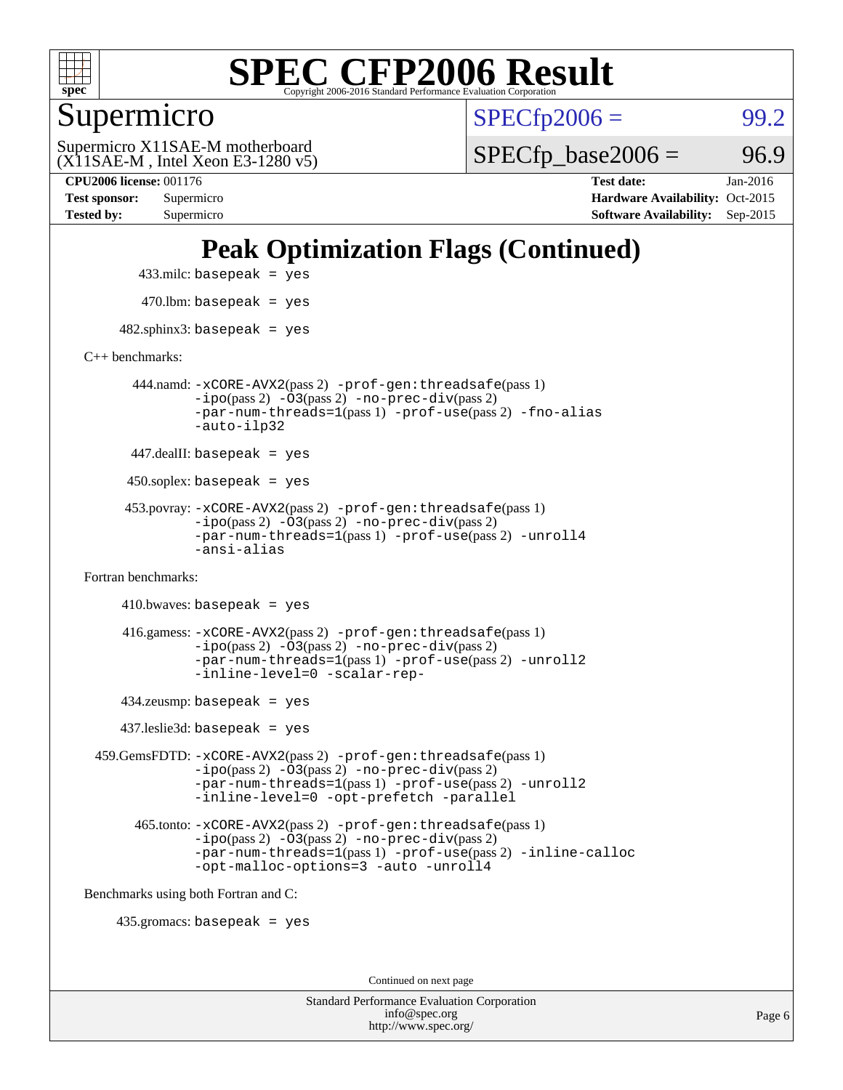

Supermicro

 $SPECTp2006 =$  99.2

(X11SAE-M , Intel Xeon E3-1280 v5) Supermicro X11SAE-M motherboard

 $SPECTp\_base2006 = 96.9$ 

**[CPU2006 license:](http://www.spec.org/auto/cpu2006/Docs/result-fields.html#CPU2006license)** 001176 **[Test date:](http://www.spec.org/auto/cpu2006/Docs/result-fields.html#Testdate)** Jan-2016 **[Test sponsor:](http://www.spec.org/auto/cpu2006/Docs/result-fields.html#Testsponsor)** Supermicro Supermicro **[Hardware Availability:](http://www.spec.org/auto/cpu2006/Docs/result-fields.html#HardwareAvailability)** Oct-2015 **[Tested by:](http://www.spec.org/auto/cpu2006/Docs/result-fields.html#Testedby)** Supermicro **Supermicro [Software Availability:](http://www.spec.org/auto/cpu2006/Docs/result-fields.html#SoftwareAvailability)** Sep-2015

#### **[Peak Optimization Flags \(Continued\)](http://www.spec.org/auto/cpu2006/Docs/result-fields.html#PeakOptimizationFlags)**

 433.milc: basepeak = yes  $470$ .lbm: basepeak = yes

 $482$ .sphinx3: basepeak = yes

[C++ benchmarks:](http://www.spec.org/auto/cpu2006/Docs/result-fields.html#CXXbenchmarks)

 444.namd: [-xCORE-AVX2](http://www.spec.org/cpu2006/results/res2016q1/cpu2006-20160206-38990.flags.html#user_peakPASS2_CXXFLAGSPASS2_LDFLAGS444_namd_f-xAVX2_5f5fc0cbe2c9f62c816d3e45806c70d7)(pass 2) [-prof-gen:threadsafe](http://www.spec.org/cpu2006/results/res2016q1/cpu2006-20160206-38990.flags.html#user_peakPASS1_CXXFLAGSPASS1_LDFLAGS444_namd_prof_gen_21a26eb79f378b550acd7bec9fe4467a)(pass 1) [-ipo](http://www.spec.org/cpu2006/results/res2016q1/cpu2006-20160206-38990.flags.html#user_peakPASS2_CXXFLAGSPASS2_LDFLAGS444_namd_f-ipo)(pass 2) [-O3](http://www.spec.org/cpu2006/results/res2016q1/cpu2006-20160206-38990.flags.html#user_peakPASS2_CXXFLAGSPASS2_LDFLAGS444_namd_f-O3)(pass 2) [-no-prec-div](http://www.spec.org/cpu2006/results/res2016q1/cpu2006-20160206-38990.flags.html#user_peakPASS2_CXXFLAGSPASS2_LDFLAGS444_namd_f-no-prec-div)(pass 2) [-par-num-threads=1](http://www.spec.org/cpu2006/results/res2016q1/cpu2006-20160206-38990.flags.html#user_peakPASS1_CXXFLAGSPASS1_LDFLAGS444_namd_par_num_threads_786a6ff141b4e9e90432e998842df6c2)(pass 1) [-prof-use](http://www.spec.org/cpu2006/results/res2016q1/cpu2006-20160206-38990.flags.html#user_peakPASS2_CXXFLAGSPASS2_LDFLAGS444_namd_prof_use_bccf7792157ff70d64e32fe3e1250b55)(pass 2) [-fno-alias](http://www.spec.org/cpu2006/results/res2016q1/cpu2006-20160206-38990.flags.html#user_peakCXXOPTIMIZEOPTIMIZE444_namd_f-no-alias_694e77f6c5a51e658e82ccff53a9e63a) [-auto-ilp32](http://www.spec.org/cpu2006/results/res2016q1/cpu2006-20160206-38990.flags.html#user_peakCXXOPTIMIZE444_namd_f-auto-ilp32)

447.dealII: basepeak = yes

 $450$ .soplex: basepeak = yes

 453.povray: [-xCORE-AVX2](http://www.spec.org/cpu2006/results/res2016q1/cpu2006-20160206-38990.flags.html#user_peakPASS2_CXXFLAGSPASS2_LDFLAGS453_povray_f-xAVX2_5f5fc0cbe2c9f62c816d3e45806c70d7)(pass 2) [-prof-gen:threadsafe](http://www.spec.org/cpu2006/results/res2016q1/cpu2006-20160206-38990.flags.html#user_peakPASS1_CXXFLAGSPASS1_LDFLAGS453_povray_prof_gen_21a26eb79f378b550acd7bec9fe4467a)(pass 1)  $-ipo(pass 2) -\overline{O3(pass 2)}$  $-ipo(pass 2) -\overline{O3(pass 2)}$  [-no-prec-div](http://www.spec.org/cpu2006/results/res2016q1/cpu2006-20160206-38990.flags.html#user_peakPASS2_CXXFLAGSPASS2_LDFLAGS453_povray_f-no-prec-div)(pass 2) [-par-num-threads=1](http://www.spec.org/cpu2006/results/res2016q1/cpu2006-20160206-38990.flags.html#user_peakPASS1_CXXFLAGSPASS1_LDFLAGS453_povray_par_num_threads_786a6ff141b4e9e90432e998842df6c2)(pass 1) [-prof-use](http://www.spec.org/cpu2006/results/res2016q1/cpu2006-20160206-38990.flags.html#user_peakPASS2_CXXFLAGSPASS2_LDFLAGS453_povray_prof_use_bccf7792157ff70d64e32fe3e1250b55)(pass 2) [-unroll4](http://www.spec.org/cpu2006/results/res2016q1/cpu2006-20160206-38990.flags.html#user_peakCXXOPTIMIZE453_povray_f-unroll_4e5e4ed65b7fd20bdcd365bec371b81f) [-ansi-alias](http://www.spec.org/cpu2006/results/res2016q1/cpu2006-20160206-38990.flags.html#user_peakCXXOPTIMIZE453_povray_f-ansi-alias)

[Fortran benchmarks](http://www.spec.org/auto/cpu2006/Docs/result-fields.html#Fortranbenchmarks):

```
410.bwaves: basepeak = yes 416.gamess: -xCORE-AVX2(pass 2) -prof-gen:threadsafe(pass 1)
-i\text{po}(pass 2) -\tilde{O}3(pass 2)-no-prec-div(pass 2)
-par-num-threads=1(pass 1) -prof-use(pass 2) -unroll2
-inline-level=0 -scalar-rep-
```
434.zeusmp: basepeak = yes

437.leslie3d: basepeak = yes

 459.GemsFDTD: [-xCORE-AVX2](http://www.spec.org/cpu2006/results/res2016q1/cpu2006-20160206-38990.flags.html#user_peakPASS2_FFLAGSPASS2_LDFLAGS459_GemsFDTD_f-xAVX2_5f5fc0cbe2c9f62c816d3e45806c70d7)(pass 2) [-prof-gen:threadsafe](http://www.spec.org/cpu2006/results/res2016q1/cpu2006-20160206-38990.flags.html#user_peakPASS1_FFLAGSPASS1_LDFLAGS459_GemsFDTD_prof_gen_21a26eb79f378b550acd7bec9fe4467a)(pass 1) [-ipo](http://www.spec.org/cpu2006/results/res2016q1/cpu2006-20160206-38990.flags.html#user_peakPASS2_FFLAGSPASS2_LDFLAGS459_GemsFDTD_f-ipo)(pass 2) [-O3](http://www.spec.org/cpu2006/results/res2016q1/cpu2006-20160206-38990.flags.html#user_peakPASS2_FFLAGSPASS2_LDFLAGS459_GemsFDTD_f-O3)(pass 2) [-no-prec-div](http://www.spec.org/cpu2006/results/res2016q1/cpu2006-20160206-38990.flags.html#user_peakPASS2_FFLAGSPASS2_LDFLAGS459_GemsFDTD_f-no-prec-div)(pass 2) [-par-num-threads=1](http://www.spec.org/cpu2006/results/res2016q1/cpu2006-20160206-38990.flags.html#user_peakPASS1_FFLAGSPASS1_LDFLAGS459_GemsFDTD_par_num_threads_786a6ff141b4e9e90432e998842df6c2)(pass 1) [-prof-use](http://www.spec.org/cpu2006/results/res2016q1/cpu2006-20160206-38990.flags.html#user_peakPASS2_FFLAGSPASS2_LDFLAGS459_GemsFDTD_prof_use_bccf7792157ff70d64e32fe3e1250b55)(pass 2) [-unroll2](http://www.spec.org/cpu2006/results/res2016q1/cpu2006-20160206-38990.flags.html#user_peakOPTIMIZE459_GemsFDTD_f-unroll_784dae83bebfb236979b41d2422d7ec2) [-inline-level=0](http://www.spec.org/cpu2006/results/res2016q1/cpu2006-20160206-38990.flags.html#user_peakOPTIMIZE459_GemsFDTD_f-inline-level_318d07a09274ad25e8d15dbfaa68ba50) [-opt-prefetch](http://www.spec.org/cpu2006/results/res2016q1/cpu2006-20160206-38990.flags.html#user_peakOPTIMIZE459_GemsFDTD_f-opt-prefetch) [-parallel](http://www.spec.org/cpu2006/results/res2016q1/cpu2006-20160206-38990.flags.html#user_peakOPTIMIZE459_GemsFDTD_f-parallel)

 465.tonto: [-xCORE-AVX2](http://www.spec.org/cpu2006/results/res2016q1/cpu2006-20160206-38990.flags.html#user_peakPASS2_FFLAGSPASS2_LDFLAGS465_tonto_f-xAVX2_5f5fc0cbe2c9f62c816d3e45806c70d7)(pass 2) [-prof-gen:threadsafe](http://www.spec.org/cpu2006/results/res2016q1/cpu2006-20160206-38990.flags.html#user_peakPASS1_FFLAGSPASS1_LDFLAGS465_tonto_prof_gen_21a26eb79f378b550acd7bec9fe4467a)(pass 1)  $-i\text{po}(pass 2) -\overline{0}3(pass 2) -no-prec-div(pass 2)$  $-i\text{po}(pass 2) -\overline{0}3(pass 2) -no-prec-div(pass 2)$  $-i\text{po}(pass 2) -\overline{0}3(pass 2) -no-prec-div(pass 2)$ [-par-num-threads=1](http://www.spec.org/cpu2006/results/res2016q1/cpu2006-20160206-38990.flags.html#user_peakPASS1_FFLAGSPASS1_LDFLAGS465_tonto_par_num_threads_786a6ff141b4e9e90432e998842df6c2)(pass 1) [-prof-use](http://www.spec.org/cpu2006/results/res2016q1/cpu2006-20160206-38990.flags.html#user_peakPASS2_FFLAGSPASS2_LDFLAGS465_tonto_prof_use_bccf7792157ff70d64e32fe3e1250b55)(pass 2) [-inline-calloc](http://www.spec.org/cpu2006/results/res2016q1/cpu2006-20160206-38990.flags.html#user_peakOPTIMIZE465_tonto_f-inline-calloc) [-opt-malloc-options=3](http://www.spec.org/cpu2006/results/res2016q1/cpu2006-20160206-38990.flags.html#user_peakOPTIMIZE465_tonto_f-opt-malloc-options_13ab9b803cf986b4ee62f0a5998c2238) [-auto](http://www.spec.org/cpu2006/results/res2016q1/cpu2006-20160206-38990.flags.html#user_peakOPTIMIZE465_tonto_f-auto) [-unroll4](http://www.spec.org/cpu2006/results/res2016q1/cpu2006-20160206-38990.flags.html#user_peakOPTIMIZE465_tonto_f-unroll_4e5e4ed65b7fd20bdcd365bec371b81f)

[Benchmarks using both Fortran and C](http://www.spec.org/auto/cpu2006/Docs/result-fields.html#BenchmarksusingbothFortranandC):

435.gromacs: basepeak = yes

Continued on next page